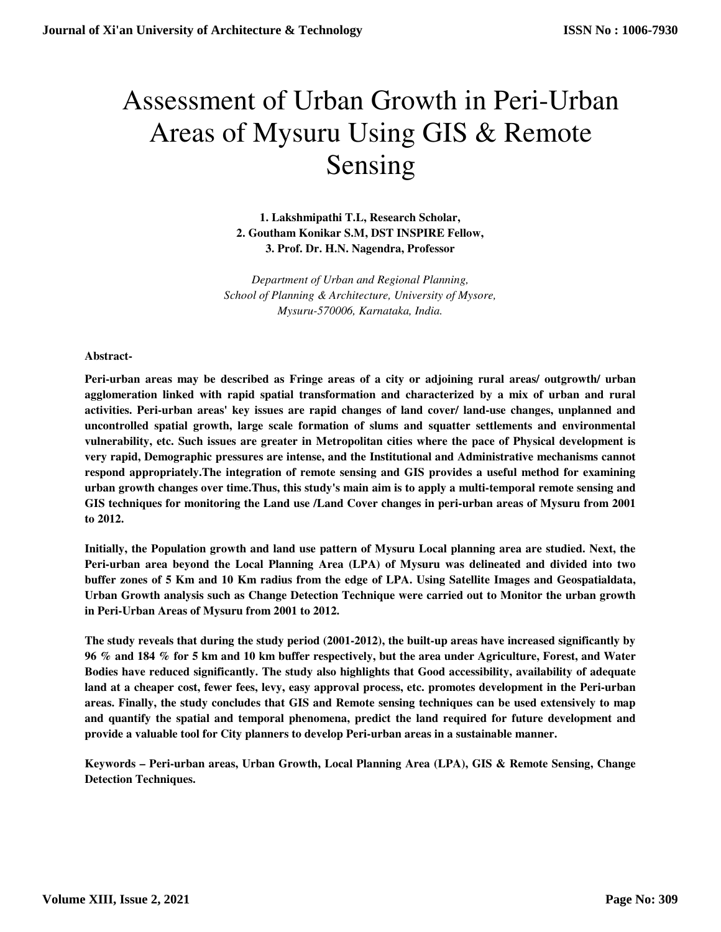# Assessment of Urban Growth in Peri-Urban Areas of Mysuru Using GIS & Remote Sensing

**1. Lakshmipathi T.L, Research Scholar, 2. Goutham Konikar S.M, DST INSPIRE Fellow, 3. Prof. Dr. H.N. Nagendra, Professor** 

*Department of Urban and Regional Planning, School of Planning & Architecture, University of Mysore, Mysuru-570006, Karnataka, India.* 

## **Abstract-**

**Peri-urban areas may be described as Fringe areas of a city or adjoining rural areas/ outgrowth/ urban agglomeration linked with rapid spatial transformation and characterized by a mix of urban and rural activities. Peri-urban areas' key issues are rapid changes of land cover/ land-use changes, unplanned and uncontrolled spatial growth, large scale formation of slums and squatter settlements and environmental vulnerability, etc. Such issues are greater in Metropolitan cities where the pace of Physical development is very rapid, Demographic pressures are intense, and the Institutional and Administrative mechanisms cannot respond appropriately.The integration of remote sensing and GIS provides a useful method for examining urban growth changes over time.Thus, this study's main aim is to apply a multi-temporal remote sensing and GIS techniques for monitoring the Land use /Land Cover changes in peri-urban areas of Mysuru from 2001 to 2012.** 

**Initially, the Population growth and land use pattern of Mysuru Local planning area are studied. Next, the Peri-urban area beyond the Local Planning Area (LPA) of Mysuru was delineated and divided into two buffer zones of 5 Km and 10 Km radius from the edge of LPA. Using Satellite Images and Geospatialdata, Urban Growth analysis such as Change Detection Technique were carried out to Monitor the urban growth in Peri-Urban Areas of Mysuru from 2001 to 2012.** 

**The study reveals that during the study period (2001-2012), the built-up areas have increased significantly by 96 % and 184 % for 5 km and 10 km buffer respectively, but the area under Agriculture, Forest, and Water Bodies have reduced significantly. The study also highlights that Good accessibility, availability of adequate land at a cheaper cost, fewer fees, levy, easy approval process, etc. promotes development in the Peri-urban areas. Finally, the study concludes that GIS and Remote sensing techniques can be used extensively to map and quantify the spatial and temporal phenomena, predict the land required for future development and provide a valuable tool for City planners to develop Peri-urban areas in a sustainable manner.** 

**Keywords – Peri-urban areas, Urban Growth, Local Planning Area (LPA), GIS & Remote Sensing, Change Detection Techniques.**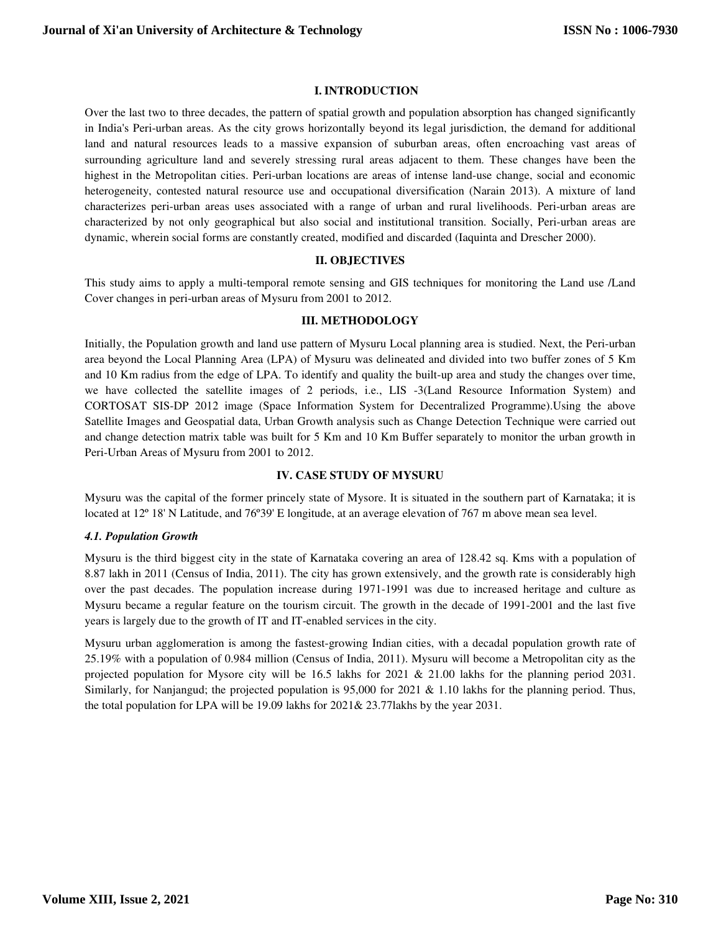# **I. INTRODUCTION**

Over the last two to three decades, the pattern of spatial growth and population absorption has changed significantly in India's Peri-urban areas. As the city grows horizontally beyond its legal jurisdiction, the demand for additional land and natural resources leads to a massive expansion of suburban areas, often encroaching vast areas of surrounding agriculture land and severely stressing rural areas adjacent to them. These changes have been the highest in the Metropolitan cities. Peri-urban locations are areas of intense land-use change, social and economic heterogeneity, contested natural resource use and occupational diversification (Narain 2013). A mixture of land characterizes peri-urban areas uses associated with a range of urban and rural livelihoods. Peri-urban areas are characterized by not only geographical but also social and institutional transition. Socially, Peri-urban areas are dynamic, wherein social forms are constantly created, modified and discarded (Iaquinta and Drescher 2000).

## **II. OBJECTIVES**

This study aims to apply a multi-temporal remote sensing and GIS techniques for monitoring the Land use /Land Cover changes in peri-urban areas of Mysuru from 2001 to 2012.

## **III. METHODOLOGY**

Initially, the Population growth and land use pattern of Mysuru Local planning area is studied. Next, the Peri-urban area beyond the Local Planning Area (LPA) of Mysuru was delineated and divided into two buffer zones of 5 Km and 10 Km radius from the edge of LPA. To identify and quality the built-up area and study the changes over time, we have collected the satellite images of 2 periods, i.e., LIS -3(Land Resource Information System) and CORTOSAT SIS-DP 2012 image (Space Information System for Decentralized Programme).Using the above Satellite Images and Geospatial data, Urban Growth analysis such as Change Detection Technique were carried out and change detection matrix table was built for 5 Km and 10 Km Buffer separately to monitor the urban growth in Peri-Urban Areas of Mysuru from 2001 to 2012.

# **IV. CASE STUDY OF MYSURU**

Mysuru was the capital of the former princely state of Mysore. It is situated in the southern part of Karnataka; it is located at 12º 18' N Latitude, and 76º39' E longitude, at an average elevation of 767 m above mean sea level.

# *4.1. Population Growth*

Mysuru is the third biggest city in the state of Karnataka covering an area of 128.42 sq. Kms with a population of 8.87 lakh in 2011 (Census of India, 2011). The city has grown extensively, and the growth rate is considerably high over the past decades. The population increase during 1971-1991 was due to increased heritage and culture as Mysuru became a regular feature on the tourism circuit. The growth in the decade of 1991-2001 and the last five years is largely due to the growth of IT and IT-enabled services in the city.

Mysuru urban agglomeration is among the fastest-growing Indian cities, with a decadal population growth rate of 25.19% with a population of 0.984 million (Census of India, 2011). Mysuru will become a Metropolitan city as the projected population for Mysore city will be 16.5 lakhs for 2021 & 21.00 lakhs for the planning period 2031. Similarly, for Nanjangud; the projected population is 95,000 for 2021 & 1.10 lakhs for the planning period. Thus, the total population for LPA will be 19.09 lakhs for 2021& 23.77lakhs by the year 2031.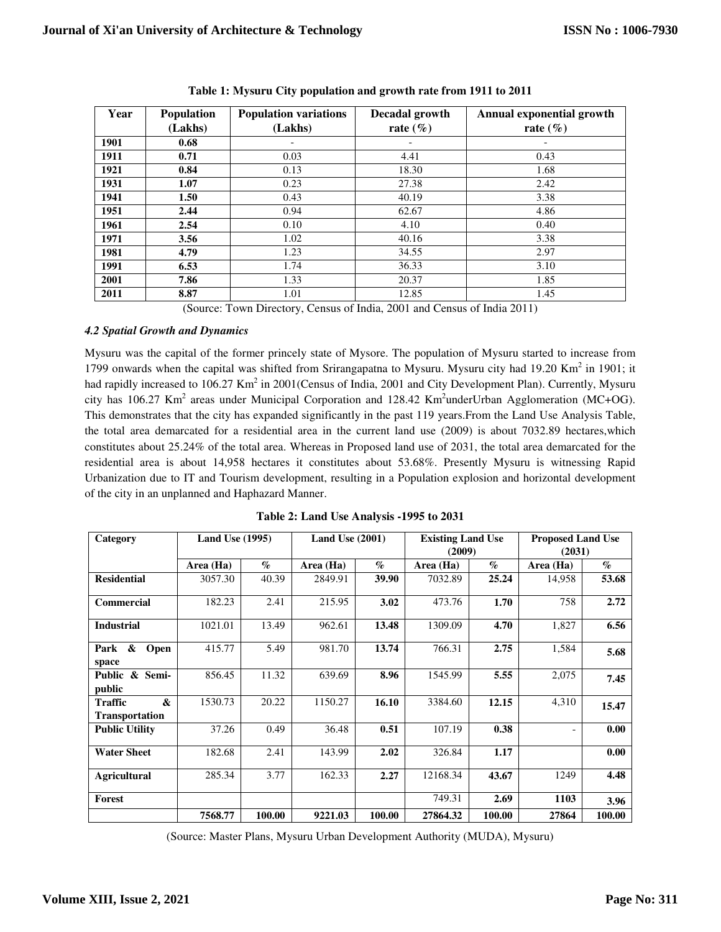| Year | <b>Population</b> | <b>Population variations</b> | Decadal growth  | <b>Annual exponential growth</b> |  |  |
|------|-------------------|------------------------------|-----------------|----------------------------------|--|--|
|      | (Lakhs)           | (Lakhs)                      | rate $(\% )$    | rate $(\% )$                     |  |  |
| 1901 | 0.68              |                              |                 |                                  |  |  |
| 1911 | 0.71              | 0.03                         | 4.41            | 0.43                             |  |  |
| 1921 | 0.84              | 0.13                         | 18.30           | 1.68                             |  |  |
| 1931 | 1.07              | 0.23                         | 27.38           | 2.42                             |  |  |
| 1941 | 1.50              | 0.43                         | 40.19           | 3.38                             |  |  |
| 1951 | 2.44              | 0.94                         | 62.67           | 4.86                             |  |  |
| 1961 | 2.54              | 0.10                         | 4.10            | 0.40                             |  |  |
| 1971 | 3.56              | 1.02                         | 40.16           | 3.38                             |  |  |
| 1981 | 4.79              | 1.23                         | 34.55           | 2.97                             |  |  |
| 1991 | 6.53              | 1.74                         | 36.33           | 3.10                             |  |  |
| 2001 | 7.86              | 1.33                         | 20.37           | 1.85                             |  |  |
| 2011 | 8.87              | 1.01                         | 12.85<br>$   -$ | 1.45                             |  |  |

**Table 1: Mysuru City population and growth rate from 1911 to 2011** 

(Source: Town Directory, Census of India, 2001 and Census of India 2011)

# *4.2 Spatial Growth and Dynamics*

Mysuru was the capital of the former princely state of Mysore. The population of Mysuru started to increase from 1799 onwards when the capital was shifted from Srirangapatna to Mysuru. Mysuru city had 19.20 Km<sup>2</sup> in 1901; it had rapidly increased to 106.27 Km<sup>2</sup> in 2001(Census of India, 2001 and City Development Plan). Currently, Mysuru city has 106.27 Km<sup>2</sup> areas under Municipal Corporation and 128.42 Km<sup>2</sup>underUrban Agglomeration (MC+OG). This demonstrates that the city has expanded significantly in the past 119 years.From the Land Use Analysis Table, the total area demarcated for a residential area in the current land use (2009) is about 7032.89 hectares,which constitutes about 25.24% of the total area. Whereas in Proposed land use of 2031, the total area demarcated for the residential area is about 14,958 hectares it constitutes about 53.68%. Presently Mysuru is witnessing Rapid Urbanization due to IT and Tourism development, resulting in a Population explosion and horizontal development of the city in an unplanned and Haphazard Manner.

| Category                                                         | <b>Land Use (1995)</b> |                             | Land Use $(2001)$ |                 | <b>Existing Land Use</b><br>(2009) |                 | <b>Proposed Land Use</b><br>(2031) |                           |
|------------------------------------------------------------------|------------------------|-----------------------------|-------------------|-----------------|------------------------------------|-----------------|------------------------------------|---------------------------|
|                                                                  | Area (Ha)              | $\mathcal{G}_{\mathcal{O}}$ | Area (Ha)         | $\mathcal{O}_0$ | Area (Ha)                          | $\mathcal{O}_0$ | Area (Ha)                          | $\mathcal{O}_\mathcal{D}$ |
| <b>Residential</b>                                               | 3057.30                | 40.39                       | 2849.91           | 39.90           | 7032.89                            | 25.24           | 14,958                             | 53.68                     |
| Commercial                                                       | 182.23                 | 2.41                        | 215.95            | 3.02            | 473.76                             | 1.70            | 758                                | 2.72                      |
| <b>Industrial</b>                                                | 1021.01                | 13.49                       | 962.61            | 13.48           | 1309.09                            | 4.70            | 1,827                              | 6.56                      |
| &<br>Park<br>Open<br>space                                       | 415.77                 | 5.49                        | 981.70            | 13.74           | 766.31                             | 2.75            | 1,584                              | 5.68                      |
| Public & Semi-<br>public                                         | 856.45                 | 11.32                       | 639.69            | 8.96            | 1545.99                            | 5.55            | 2,075                              | 7.45                      |
| $\boldsymbol{\alpha}$<br><b>Traffic</b><br><b>Transportation</b> | 1530.73                | 20.22                       | 1150.27           | 16.10           | 3384.60                            | 12.15           | 4,310                              | 15.47                     |
| <b>Public Utility</b>                                            | 37.26                  | 0.49                        | 36.48             | 0.51            | 107.19                             | 0.38            |                                    | 0.00                      |
| <b>Water Sheet</b>                                               | 182.68                 | 2.41                        | 143.99            | 2.02            | 326.84                             | 1.17            |                                    | 0.00                      |
| <b>Agricultural</b>                                              | 285.34                 | 3.77                        | 162.33            | 2.27            | 12168.34                           | 43.67           | 1249                               | 4.48                      |
| Forest                                                           |                        |                             |                   |                 | 749.31                             | 2.69            | 1103                               | 3.96                      |
|                                                                  | 7568.77                | 100.00                      | 9221.03           | 100.00          | 27864.32                           | 100.00          | 27864                              | 100.00                    |

**Table 2: Land Use Analysis -1995 to 2031** 

(Source: Master Plans, Mysuru Urban Development Authority (MUDA), Mysuru)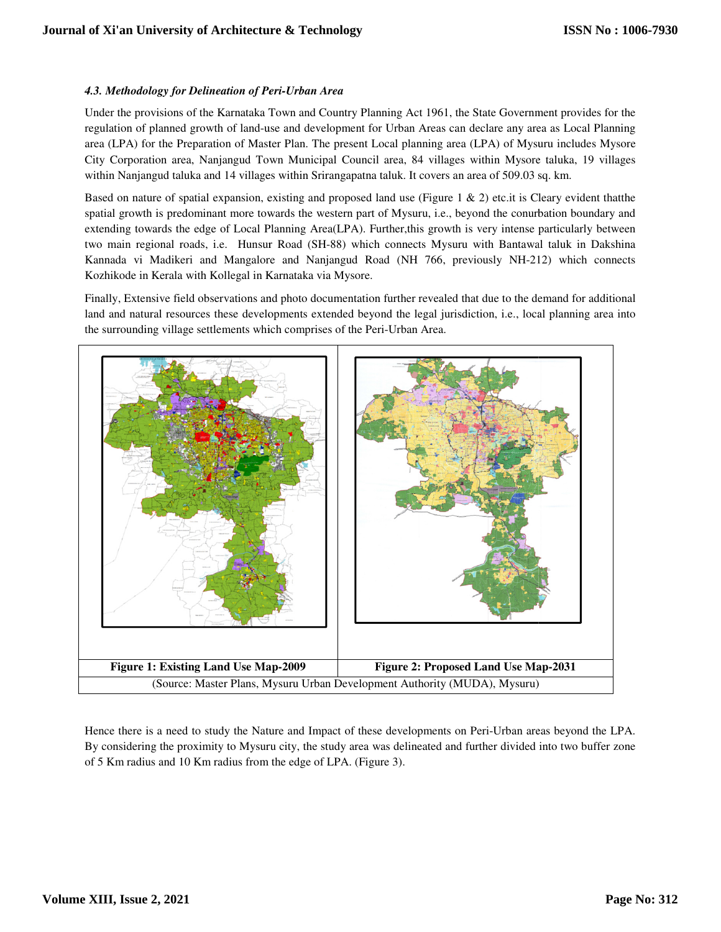# *4.3. Methodology for Delineation of Peri Delineation of Peri-Urban Area*

Under the provisions of the Karnataka Town and Country Planning Act 1961, the State Government provides for the regulation of planned growth of land-use and development for Urban Areas can declare any area as Local Planning area (LPA) for the Preparation of Master Plan. The present Local planning area (LPA) of Mysuru includes Mysore City Corporation area, Nanjangud Town Municipal Council area, 84 villages within Mysore taluka, 19 villages within Nanjangud taluka and 14 villages within Srirangapatna taluk. It covers an area of 509.03 sq. km.

within Nanjangud taluka and 14 villages within Srirangapatna taluk. It covers an area of 509.03 sq. km.<br>Based on nature of spatial expansion, existing and proposed land use (Figure 1 & 2) etc.it is Cleary evident thatthe spatial growth is predominant more towards the western part of Mysuru, i.e., beyond the conurbation boundary and extending towards the edge of Local Planning Area(LPA). Further,this growth is very intense particularly between two main regional roads, i.e. Hunsur Road (SH-88) which connects Mysuru with Bantawal taluk in Dakshina Kannada vi Madikeri and Mangalore and Nanjangud Road (NH 766, previously NH-212) which connects Kozhikode in Kerala with Kollegal in Karnataka via Mysore.

Kozhikode in Kerala with Kollegal in Karnataka via Mysore.<br>Finally, Extensive field observations and photo documentation further revealed that due to the demand for additional land and natural resources these developments extended beyond the legal jurisdiction, i.e., local planning area into the surrounding village settlements which comprises of the Peri Peri-Urban Area.



By considering the proximity to Mysuru city, the study area was delineated and further divided into two buffer zone of 5 Km radius and 10 Km radius from the edge of LPA. (Figure 3).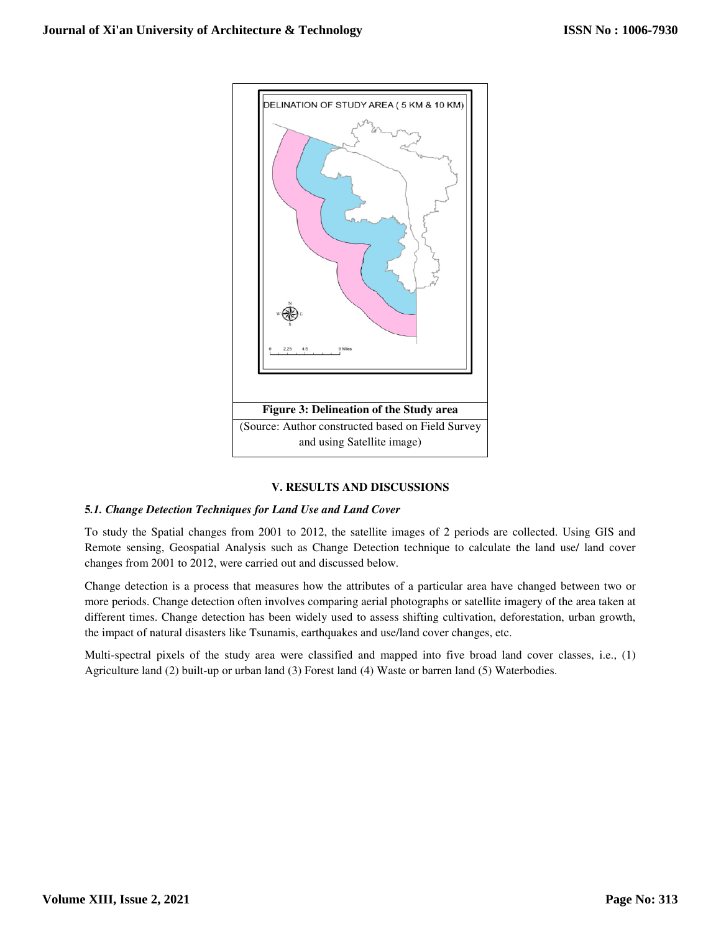

# **V. RESULTS AND DISCUSSIONS**

# **5***.1. Change Detection Techniques for Land Use and Land Cover and Land*

To study the Spatial changes from 2001 to 2012, the satellite images of 2 periods are collected. Using GIS and Remote sensing, Geospatial Analysis such as Change Detection technique to calculate the land use/ land cover changes from 2001 to 2012, were carried out and discussed below.

Change detection is a process that measures how the attributes of a particular area have changed between two or more periods. Change detection often involves comparing aerial photographs or satellite imagery of the area taken at different times. Change detection has been widely used to assess shifting cultivation, deforestation, urban growth, the impact of natural disasters like Tsunamis, earthquakes and use/land cover changes, etc.

the impact of natural disasters like Tsunamis, earthquakes and use/land cover changes, etc.<br>Multi-spectral pixels of the study area were classified and mapped into five broad land cover classes, i.e., (1) Agriculture land (2) built-up or urban land (3) Forest land (4) Waste or barren land (5) Waterbodies. he study area were classified and mapped into five broad land cover classes, i.e., (1) up or urban land (3) Forest land (4) Waste or barren land (5) Waterbodies.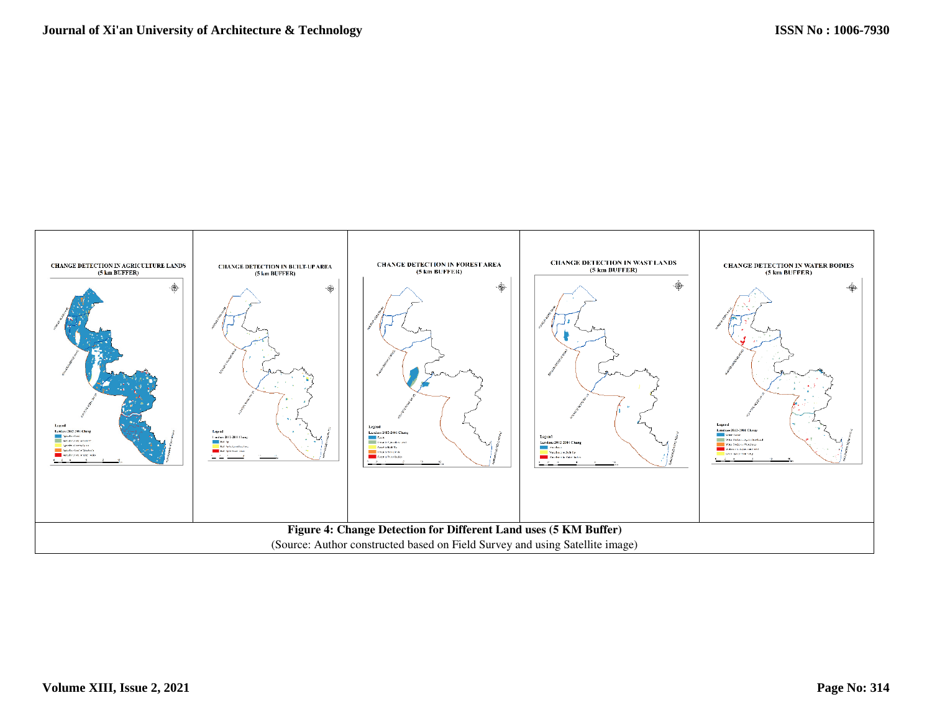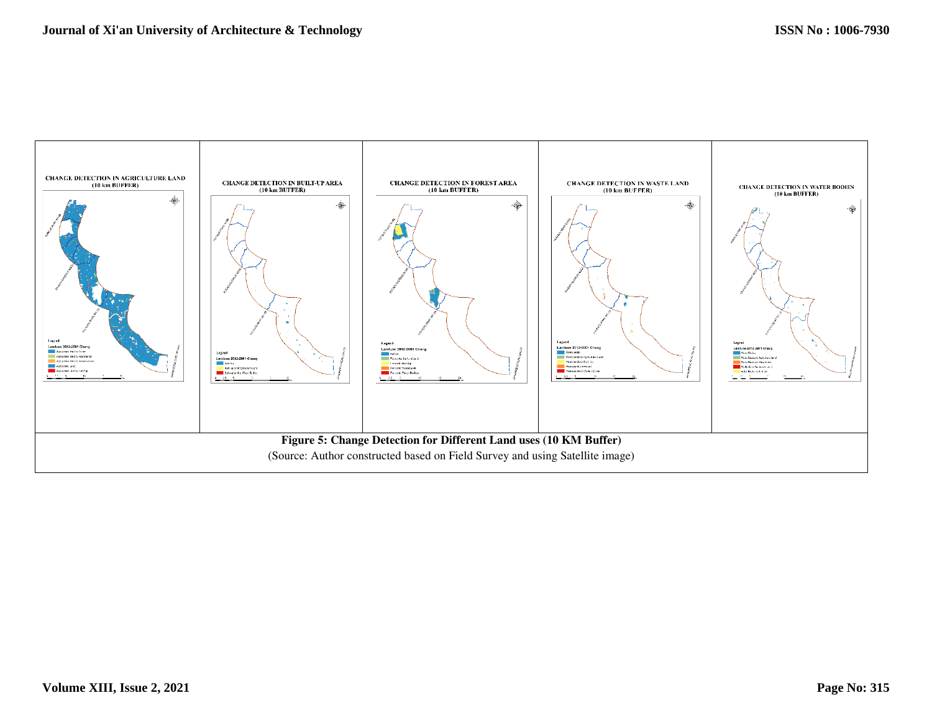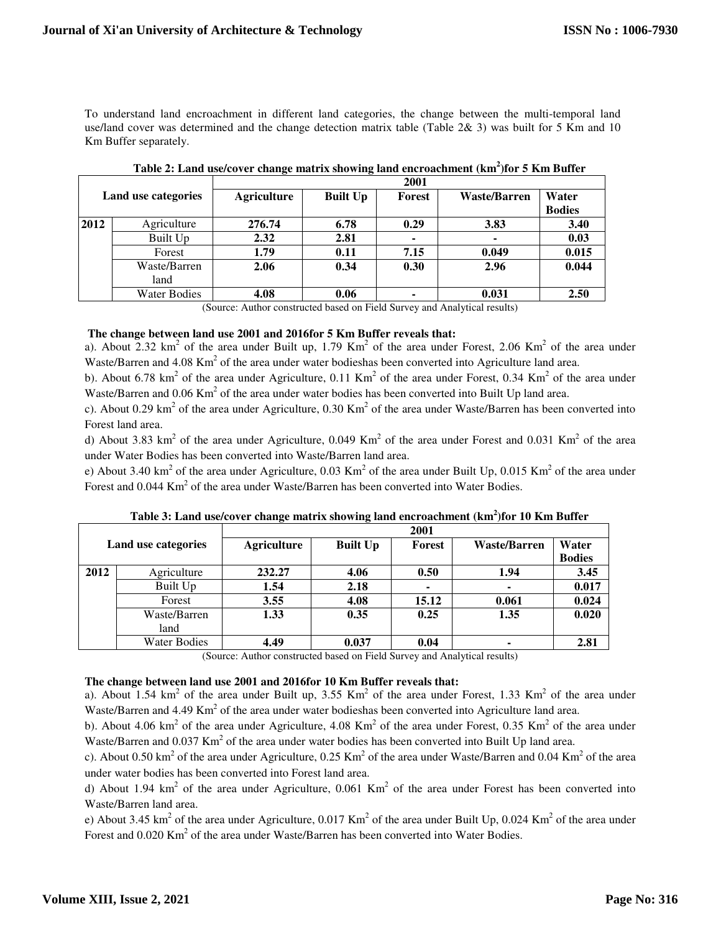To understand land encroachment in different land categories, the change between the multi-temporal land use/land cover was determined and the change detection matrix table (Table 2& 3) was built for 5 Km and 10 Km Buffer separately.

| Land use categories                                                       |                     | 2001               |                 |                          |                     |               |  |  |  |  |
|---------------------------------------------------------------------------|---------------------|--------------------|-----------------|--------------------------|---------------------|---------------|--|--|--|--|
|                                                                           |                     | <b>Agriculture</b> | <b>Built Up</b> | Forest                   | <b>Waste/Barren</b> | Water         |  |  |  |  |
|                                                                           |                     |                    |                 |                          |                     | <b>Bodies</b> |  |  |  |  |
| 2012                                                                      | Agriculture         | 276.74             | 6.78            | 0.29                     | 3.83                | 3.40          |  |  |  |  |
|                                                                           | Built Up            | 2.32               | 2.81            | $\overline{\phantom{a}}$ |                     | 0.03          |  |  |  |  |
|                                                                           | Forest              | 1.79               | 0.11            | 7.15                     | 0.049               | 0.015         |  |  |  |  |
|                                                                           | Waste/Barren        | 2.06               | 0.34            | 0.30                     | 2.96                | 0.044         |  |  |  |  |
|                                                                           | land                |                    |                 |                          |                     |               |  |  |  |  |
|                                                                           | <b>Water Bodies</b> | 4.08               | 0.06            | ۰                        | 0.031               | 2.50          |  |  |  |  |
| (Course Author constructed besed on Eight Current and Apolitical results) |                     |                    |                 |                          |                     |               |  |  |  |  |

|  |  |  | Table 2: Land use/cover change matrix showing land encroachment (km <sup>2</sup> )for 5 Km Buffer |  |  |
|--|--|--|---------------------------------------------------------------------------------------------------|--|--|
|  |  |  |                                                                                                   |  |  |
|  |  |  |                                                                                                   |  |  |

(Source: Author constructed based on Field Survey and Analytical results)

## **The change between land use 2001 and 2016for 5 Km Buffer reveals that:**

a). About 2.32 km<sup>2</sup> of the area under Built up, 1.79 Km<sup>2</sup> of the area under Forest, 2.06 Km<sup>2</sup> of the area under Waste/Barren and  $4.08 \text{ Km}^2$  of the area under water bodieshas been converted into Agriculture land area.

b). About 6.78 km<sup>2</sup> of the area under Agriculture, 0.11 Km<sup>2</sup> of the area under Forest, 0.34 Km<sup>2</sup> of the area under Waste/Barren and  $0.06$  Km<sup>2</sup> of the area under water bodies has been converted into Built Up land area.

c). About 0.29 km<sup>2</sup> of the area under Agriculture, 0.30 Km<sup>2</sup> of the area under Waste/Barren has been converted into Forest land area.

d) About 3.83 km<sup>2</sup> of the area under Agriculture, 0.049 Km<sup>2</sup> of the area under Forest and 0.031 Km<sup>2</sup> of the area under Water Bodies has been converted into Waste/Barren land area.

e) About 3.40 km<sup>2</sup> of the area under Agriculture, 0.03 Km<sup>2</sup> of the area under Built Up, 0.015 Km<sup>2</sup> of the area under Forest and  $0.044 \text{ Km}^2$  of the area under Waste/Barren has been converted into Water Bodies.

| Land use categories |                     | 2001               |                 |        |                     |               |  |  |  |  |
|---------------------|---------------------|--------------------|-----------------|--------|---------------------|---------------|--|--|--|--|
|                     |                     | <b>Agriculture</b> | <b>Built Up</b> | Forest | <b>Waste/Barren</b> | Water         |  |  |  |  |
|                     |                     |                    |                 |        |                     | <b>Bodies</b> |  |  |  |  |
| 2012                | Agriculture         | 232.27             | 4.06            | 0.50   | 1.94                | 3.45          |  |  |  |  |
|                     | Built Up            | 1.54               | 2.18            |        | ۰                   | 0.017         |  |  |  |  |
|                     | Forest              | 3.55               | 4.08            | 15.12  | 0.061               | 0.024         |  |  |  |  |
|                     | Waste/Barren        | 1.33               | 0.35            | 0.25   | 1.35                | 0.020         |  |  |  |  |
|                     | land                |                    |                 |        |                     |               |  |  |  |  |
|                     | <b>Water Bodies</b> | 4.49               | 0.037           | 0.04   | ۰                   | 2.81          |  |  |  |  |

**Table 3: Land use/cover change matrix showing land encroachment (km<sup>2</sup> )for 10 Km Buffer** 

(Source: Author constructed based on Field Survey and Analytical results)

## **The change between land use 2001 and 2016for 10 Km Buffer reveals that:**

a). About 1.54  $km^2$  of the area under Built up, 3.55  $km^2$  of the area under Forest, 1.33  $km^2$  of the area under Waste/Barren and 4.49  $\text{Km}^2$  of the area under water bodieshas been converted into Agriculture land area.

b). About 4.06 km<sup>2</sup> of the area under Agriculture, 4.08 Km<sup>2</sup> of the area under Forest, 0.35 Km<sup>2</sup> of the area under Waste/Barren and  $0.037$  Km<sup>2</sup> of the area under water bodies has been converted into Built Up land area.

c). About 0.50 km<sup>2</sup> of the area under Agriculture, 0.25 Km<sup>2</sup> of the area under Waste/Barren and 0.04 Km<sup>2</sup> of the area under water bodies has been converted into Forest land area.

d) About 1.94  $km^2$  of the area under Agriculture, 0.061 Km<sup>2</sup> of the area under Forest has been converted into Waste/Barren land area.

e) About 3.45 km<sup>2</sup> of the area under Agriculture,  $0.017$  Km<sup>2</sup> of the area under Built Up,  $0.024$  Km<sup>2</sup> of the area under Forest and  $0.020$  Km<sup>2</sup> of the area under Waste/Barren has been converted into Water Bodies.